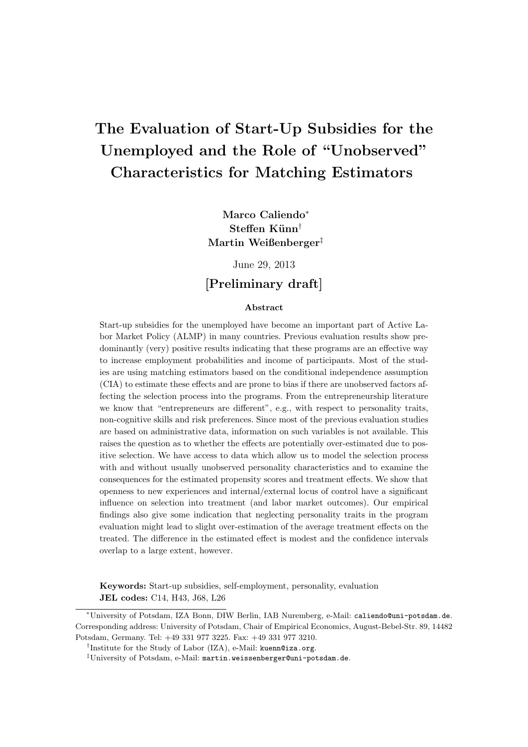# The Evaluation of Start-Up Subsidies for the Unemployed and the Role of "Unobserved" Characteristics for Matching Estimators

Marco Caliendo<sup>∗</sup> Steffen Künn<sup>†</sup> Martin Weißenberger‡

June 29, 2013

## [Preliminary draft]

#### Abstract

Start-up subsidies for the unemployed have become an important part of Active Labor Market Policy (ALMP) in many countries. Previous evaluation results show predominantly (very) positive results indicating that these programs are an effective way to increase employment probabilities and income of participants. Most of the studies are using matching estimators based on the conditional independence assumption (CIA) to estimate these effects and are prone to bias if there are unobserved factors affecting the selection process into the programs. From the entrepreneurship literature we know that "entrepreneurs are different", e.g., with respect to personality traits, non-cognitive skills and risk preferences. Since most of the previous evaluation studies are based on administrative data, information on such variables is not available. This raises the question as to whether the effects are potentially over-estimated due to positive selection. We have access to data which allow us to model the selection process with and without usually unobserved personality characteristics and to examine the consequences for the estimated propensity scores and treatment effects. We show that openness to new experiences and internal/external locus of control have a significant influence on selection into treatment (and labor market outcomes). Our empirical findings also give some indication that neglecting personality traits in the program evaluation might lead to slight over-estimation of the average treatment effects on the treated. The difference in the estimated effect is modest and the confidence intervals overlap to a large extent, however.

Keywords: Start-up subsidies, self-employment, personality, evaluation JEL codes: C14, H43, J68, L26

<sup>∗</sup>University of Potsdam, IZA Bonn, DIW Berlin, IAB Nuremberg, e-Mail: caliendo@uni-potsdam.de. Corresponding address: University of Potsdam, Chair of Empirical Economics, August-Bebel-Str. 89, 14482 Potsdam, Germany. Tel: +49 331 977 3225. Fax: +49 331 977 3210.

<sup>†</sup> Institute for the Study of Labor (IZA), e-Mail: kuenn@iza.org.

<sup>‡</sup>University of Potsdam, e-Mail: martin.weissenberger@uni-potsdam.de.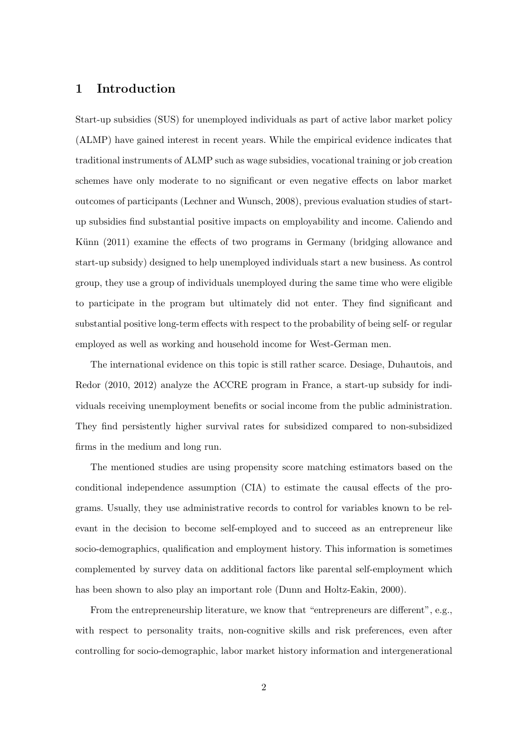## 1 Introduction

Start-up subsidies (SUS) for unemployed individuals as part of active labor market policy (ALMP) have gained interest in recent years. While the empirical evidence indicates that traditional instruments of ALMP such as wage subsidies, vocational training or job creation schemes have only moderate to no significant or even negative effects on labor market outcomes of participants (Lechner and Wunsch, 2008), previous evaluation studies of startup subsidies find substantial positive impacts on employability and income. Caliendo and Künn (2011) examine the effects of two programs in Germany (bridging allowance and start-up subsidy) designed to help unemployed individuals start a new business. As control group, they use a group of individuals unemployed during the same time who were eligible to participate in the program but ultimately did not enter. They find significant and substantial positive long-term effects with respect to the probability of being self- or regular employed as well as working and household income for West-German men.

The international evidence on this topic is still rather scarce. Desiage, Duhautois, and Redor (2010, 2012) analyze the ACCRE program in France, a start-up subsidy for individuals receiving unemployment benefits or social income from the public administration. They find persistently higher survival rates for subsidized compared to non-subsidized firms in the medium and long run.

The mentioned studies are using propensity score matching estimators based on the conditional independence assumption (CIA) to estimate the causal effects of the programs. Usually, they use administrative records to control for variables known to be relevant in the decision to become self-employed and to succeed as an entrepreneur like socio-demographics, qualification and employment history. This information is sometimes complemented by survey data on additional factors like parental self-employment which has been shown to also play an important role (Dunn and Holtz-Eakin, 2000).

From the entrepreneurship literature, we know that "entrepreneurs are different", e.g., with respect to personality traits, non-cognitive skills and risk preferences, even after controlling for socio-demographic, labor market history information and intergenerational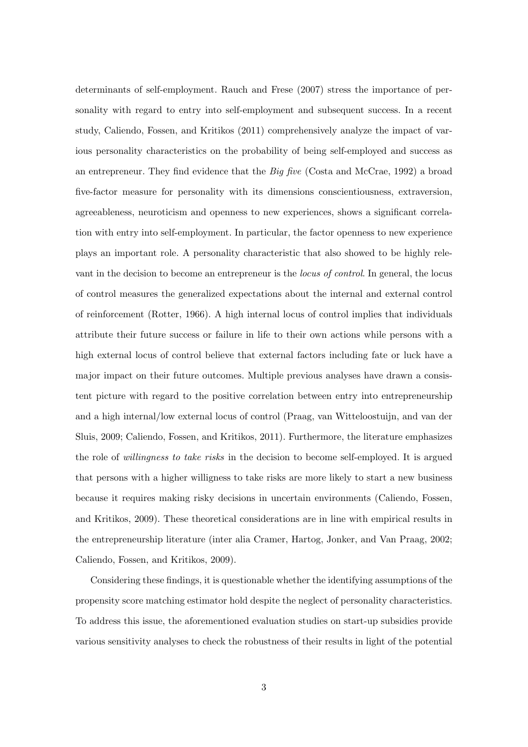determinants of self-employment. Rauch and Frese (2007) stress the importance of personality with regard to entry into self-employment and subsequent success. In a recent study, Caliendo, Fossen, and Kritikos (2011) comprehensively analyze the impact of various personality characteristics on the probability of being self-employed and success as an entrepreneur. They find evidence that the  $Big$  five (Costa and McCrae, 1992) a broad five-factor measure for personality with its dimensions conscientiousness, extraversion, agreeableness, neuroticism and openness to new experiences, shows a significant correlation with entry into self-employment. In particular, the factor openness to new experience plays an important role. A personality characteristic that also showed to be highly relevant in the decision to become an entrepreneur is the locus of control. In general, the locus of control measures the generalized expectations about the internal and external control of reinforcement (Rotter, 1966). A high internal locus of control implies that individuals attribute their future success or failure in life to their own actions while persons with a high external locus of control believe that external factors including fate or luck have a major impact on their future outcomes. Multiple previous analyses have drawn a consistent picture with regard to the positive correlation between entry into entrepreneurship and a high internal/low external locus of control (Praag, van Witteloostuijn, and van der Sluis, 2009; Caliendo, Fossen, and Kritikos, 2011). Furthermore, the literature emphasizes the role of willingness to take risks in the decision to become self-employed. It is argued that persons with a higher willigness to take risks are more likely to start a new business because it requires making risky decisions in uncertain environments (Caliendo, Fossen, and Kritikos, 2009). These theoretical considerations are in line with empirical results in the entrepreneurship literature (inter alia Cramer, Hartog, Jonker, and Van Praag, 2002; Caliendo, Fossen, and Kritikos, 2009).

Considering these findings, it is questionable whether the identifying assumptions of the propensity score matching estimator hold despite the neglect of personality characteristics. To address this issue, the aforementioned evaluation studies on start-up subsidies provide various sensitivity analyses to check the robustness of their results in light of the potential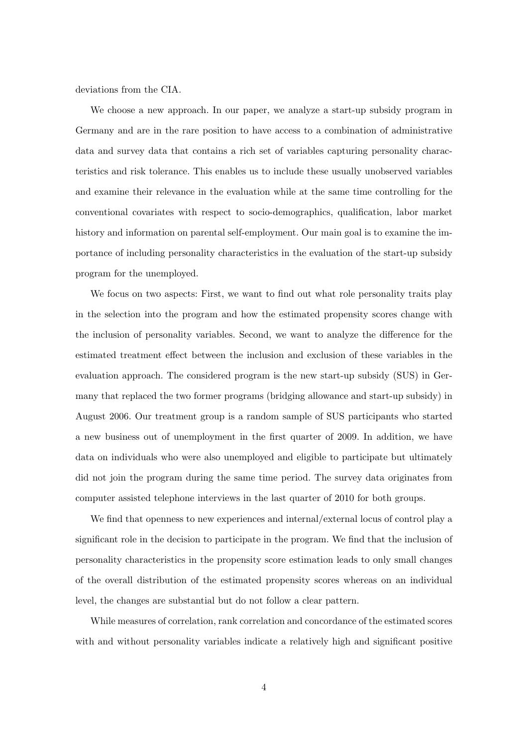deviations from the CIA.

We choose a new approach. In our paper, we analyze a start-up subsidy program in Germany and are in the rare position to have access to a combination of administrative data and survey data that contains a rich set of variables capturing personality characteristics and risk tolerance. This enables us to include these usually unobserved variables and examine their relevance in the evaluation while at the same time controlling for the conventional covariates with respect to socio-demographics, qualification, labor market history and information on parental self-employment. Our main goal is to examine the importance of including personality characteristics in the evaluation of the start-up subsidy program for the unemployed.

We focus on two aspects: First, we want to find out what role personality traits play in the selection into the program and how the estimated propensity scores change with the inclusion of personality variables. Second, we want to analyze the difference for the estimated treatment effect between the inclusion and exclusion of these variables in the evaluation approach. The considered program is the new start-up subsidy (SUS) in Germany that replaced the two former programs (bridging allowance and start-up subsidy) in August 2006. Our treatment group is a random sample of SUS participants who started a new business out of unemployment in the first quarter of 2009. In addition, we have data on individuals who were also unemployed and eligible to participate but ultimately did not join the program during the same time period. The survey data originates from computer assisted telephone interviews in the last quarter of 2010 for both groups.

We find that openness to new experiences and internal/external locus of control play a significant role in the decision to participate in the program. We find that the inclusion of personality characteristics in the propensity score estimation leads to only small changes of the overall distribution of the estimated propensity scores whereas on an individual level, the changes are substantial but do not follow a clear pattern.

While measures of correlation, rank correlation and concordance of the estimated scores with and without personality variables indicate a relatively high and significant positive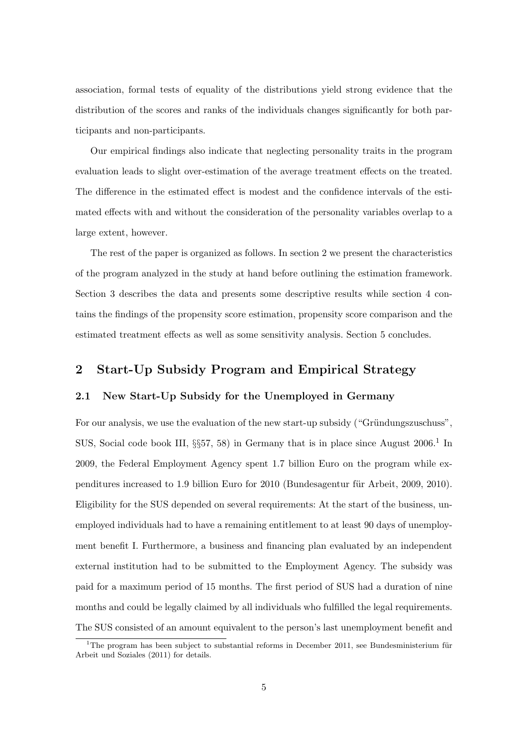association, formal tests of equality of the distributions yield strong evidence that the distribution of the scores and ranks of the individuals changes significantly for both participants and non-participants.

Our empirical findings also indicate that neglecting personality traits in the program evaluation leads to slight over-estimation of the average treatment effects on the treated. The difference in the estimated effect is modest and the confidence intervals of the estimated effects with and without the consideration of the personality variables overlap to a large extent, however.

The rest of the paper is organized as follows. In section 2 we present the characteristics of the program analyzed in the study at hand before outlining the estimation framework. Section 3 describes the data and presents some descriptive results while section 4 contains the findings of the propensity score estimation, propensity score comparison and the estimated treatment effects as well as some sensitivity analysis. Section 5 concludes.

## 2 Start-Up Subsidy Program and Empirical Strategy

#### 2.1 New Start-Up Subsidy for the Unemployed in Germany

For our analysis, we use the evaluation of the new start-up subsidy ("Gründungszuschuss", SUS, Social code book III,  $\S$ 57, 58) in Germany that is in place since August 2006.<sup>1</sup> In 2009, the Federal Employment Agency spent 1.7 billion Euro on the program while expenditures increased to 1.9 billion Euro for 2010 (Bundesagentur für Arbeit, 2009, 2010). Eligibility for the SUS depended on several requirements: At the start of the business, unemployed individuals had to have a remaining entitlement to at least 90 days of unemployment benefit I. Furthermore, a business and financing plan evaluated by an independent external institution had to be submitted to the Employment Agency. The subsidy was paid for a maximum period of 15 months. The first period of SUS had a duration of nine months and could be legally claimed by all individuals who fulfilled the legal requirements. The SUS consisted of an amount equivalent to the person's last unemployment benefit and

<sup>&</sup>lt;sup>1</sup>The program has been subject to substantial reforms in December 2011, see Bundesministerium für Arbeit und Soziales (2011) for details.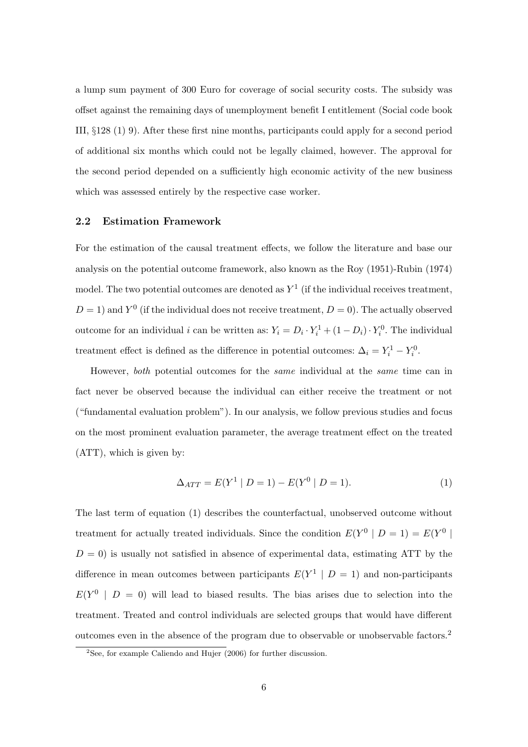a lump sum payment of 300 Euro for coverage of social security costs. The subsidy was offset against the remaining days of unemployment benefit I entitlement (Social code book III, §128 (1) 9). After these first nine months, participants could apply for a second period of additional six months which could not be legally claimed, however. The approval for the second period depended on a sufficiently high economic activity of the new business which was assessed entirely by the respective case worker.

#### 2.2 Estimation Framework

For the estimation of the causal treatment effects, we follow the literature and base our analysis on the potential outcome framework, also known as the Roy (1951)-Rubin (1974) model. The two potential outcomes are denoted as  $Y^1$  (if the individual receives treatment,  $D=1$ ) and  $Y^0$  (if the individual does not receive treatment,  $D=0$ ). The actually observed outcome for an individual i can be written as:  $Y_i = D_i \cdot Y_i^1 + (1 - D_i) \cdot Y_i^0$ . The individual treatment effect is defined as the difference in potential outcomes:  $\Delta_i = Y_i^1 - Y_i^0$ .

However, both potential outcomes for the same individual at the same time can in fact never be observed because the individual can either receive the treatment or not ("fundamental evaluation problem"). In our analysis, we follow previous studies and focus on the most prominent evaluation parameter, the average treatment effect on the treated (ATT), which is given by:

$$
\Delta_{ATT} = E(Y^1 | D = 1) - E(Y^0 | D = 1).
$$
\n(1)

The last term of equation (1) describes the counterfactual, unobserved outcome without treatment for actually treated individuals. Since the condition  $E(Y^0 | D = 1) = E(Y^0 |$  $D = 0$ ) is usually not satisfied in absence of experimental data, estimating ATT by the difference in mean outcomes between participants  $E(Y^1 | D = 1)$  and non-participants  $E(Y^0 \mid D = 0)$  will lead to biased results. The bias arises due to selection into the treatment. Treated and control individuals are selected groups that would have different outcomes even in the absence of the program due to observable or unobservable factors.<sup>2</sup>

 $2$ See, for example Caliendo and Hujer (2006) for further discussion.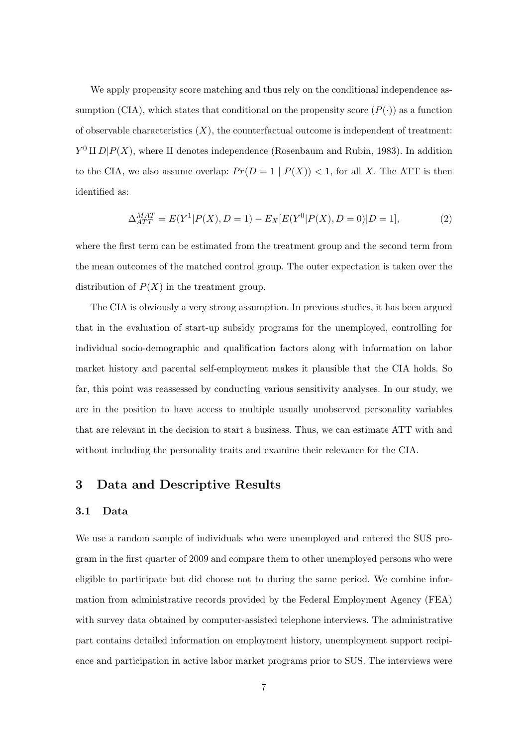We apply propensity score matching and thus rely on the conditional independence assumption (CIA), which states that conditional on the propensity score  $(P(\cdot))$  as a function of observable characteristics  $(X)$ , the counterfactual outcome is independent of treatment:  $Y^0$  II  $D|P(X)$ , where II denotes independence (Rosenbaum and Rubin, 1983). In addition to the CIA, we also assume overlap:  $Pr(D = 1 | P(X)) < 1$ , for all X. The ATT is then identified as:

$$
\Delta_{ATT}^{MAT} = E(Y^1 | P(X), D = 1) - E_X[E(Y^0 | P(X), D = 0)|D = 1],
$$
\n(2)

where the first term can be estimated from the treatment group and the second term from the mean outcomes of the matched control group. The outer expectation is taken over the distribution of  $P(X)$  in the treatment group.

The CIA is obviously a very strong assumption. In previous studies, it has been argued that in the evaluation of start-up subsidy programs for the unemployed, controlling for individual socio-demographic and qualification factors along with information on labor market history and parental self-employment makes it plausible that the CIA holds. So far, this point was reassessed by conducting various sensitivity analyses. In our study, we are in the position to have access to multiple usually unobserved personality variables that are relevant in the decision to start a business. Thus, we can estimate ATT with and without including the personality traits and examine their relevance for the CIA.

### 3 Data and Descriptive Results

#### 3.1 Data

We use a random sample of individuals who were unemployed and entered the SUS program in the first quarter of 2009 and compare them to other unemployed persons who were eligible to participate but did choose not to during the same period. We combine information from administrative records provided by the Federal Employment Agency (FEA) with survey data obtained by computer-assisted telephone interviews. The administrative part contains detailed information on employment history, unemployment support recipience and participation in active labor market programs prior to SUS. The interviews were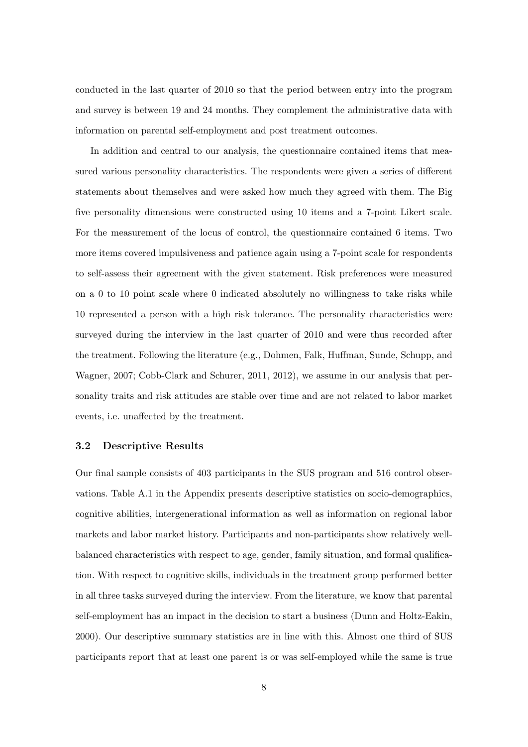conducted in the last quarter of 2010 so that the period between entry into the program and survey is between 19 and 24 months. They complement the administrative data with information on parental self-employment and post treatment outcomes.

In addition and central to our analysis, the questionnaire contained items that measured various personality characteristics. The respondents were given a series of different statements about themselves and were asked how much they agreed with them. The Big five personality dimensions were constructed using 10 items and a 7-point Likert scale. For the measurement of the locus of control, the questionnaire contained 6 items. Two more items covered impulsiveness and patience again using a 7-point scale for respondents to self-assess their agreement with the given statement. Risk preferences were measured on a 0 to 10 point scale where 0 indicated absolutely no willingness to take risks while 10 represented a person with a high risk tolerance. The personality characteristics were surveyed during the interview in the last quarter of 2010 and were thus recorded after the treatment. Following the literature (e.g., Dohmen, Falk, Huffman, Sunde, Schupp, and Wagner, 2007; Cobb-Clark and Schurer, 2011, 2012), we assume in our analysis that personality traits and risk attitudes are stable over time and are not related to labor market events, i.e. unaffected by the treatment.

#### 3.2 Descriptive Results

Our final sample consists of 403 participants in the SUS program and 516 control observations. Table A.1 in the Appendix presents descriptive statistics on socio-demographics, cognitive abilities, intergenerational information as well as information on regional labor markets and labor market history. Participants and non-participants show relatively wellbalanced characteristics with respect to age, gender, family situation, and formal qualification. With respect to cognitive skills, individuals in the treatment group performed better in all three tasks surveyed during the interview. From the literature, we know that parental self-employment has an impact in the decision to start a business (Dunn and Holtz-Eakin, 2000). Our descriptive summary statistics are in line with this. Almost one third of SUS participants report that at least one parent is or was self-employed while the same is true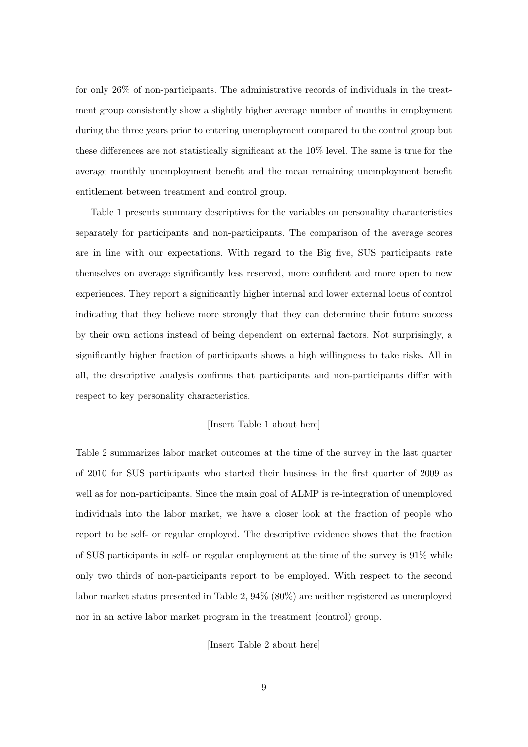for only 26% of non-participants. The administrative records of individuals in the treatment group consistently show a slightly higher average number of months in employment during the three years prior to entering unemployment compared to the control group but these differences are not statistically significant at the 10% level. The same is true for the average monthly unemployment benefit and the mean remaining unemployment benefit entitlement between treatment and control group.

Table 1 presents summary descriptives for the variables on personality characteristics separately for participants and non-participants. The comparison of the average scores are in line with our expectations. With regard to the Big five, SUS participants rate themselves on average significantly less reserved, more confident and more open to new experiences. They report a significantly higher internal and lower external locus of control indicating that they believe more strongly that they can determine their future success by their own actions instead of being dependent on external factors. Not surprisingly, a significantly higher fraction of participants shows a high willingness to take risks. All in all, the descriptive analysis confirms that participants and non-participants differ with respect to key personality characteristics.

#### [Insert Table 1 about here]

Table 2 summarizes labor market outcomes at the time of the survey in the last quarter of 2010 for SUS participants who started their business in the first quarter of 2009 as well as for non-participants. Since the main goal of ALMP is re-integration of unemployed individuals into the labor market, we have a closer look at the fraction of people who report to be self- or regular employed. The descriptive evidence shows that the fraction of SUS participants in self- or regular employment at the time of the survey is 91% while only two thirds of non-participants report to be employed. With respect to the second labor market status presented in Table 2, 94% (80%) are neither registered as unemployed nor in an active labor market program in the treatment (control) group.

[Insert Table 2 about here]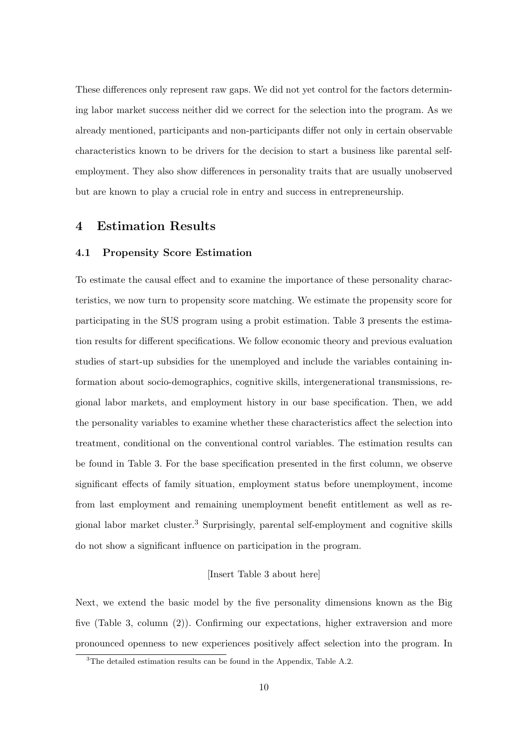These differences only represent raw gaps. We did not yet control for the factors determining labor market success neither did we correct for the selection into the program. As we already mentioned, participants and non-participants differ not only in certain observable characteristics known to be drivers for the decision to start a business like parental selfemployment. They also show differences in personality traits that are usually unobserved but are known to play a crucial role in entry and success in entrepreneurship.

## 4 Estimation Results

#### 4.1 Propensity Score Estimation

To estimate the causal effect and to examine the importance of these personality characteristics, we now turn to propensity score matching. We estimate the propensity score for participating in the SUS program using a probit estimation. Table 3 presents the estimation results for different specifications. We follow economic theory and previous evaluation studies of start-up subsidies for the unemployed and include the variables containing information about socio-demographics, cognitive skills, intergenerational transmissions, regional labor markets, and employment history in our base specification. Then, we add the personality variables to examine whether these characteristics affect the selection into treatment, conditional on the conventional control variables. The estimation results can be found in Table 3. For the base specification presented in the first column, we observe significant effects of family situation, employment status before unemployment, income from last employment and remaining unemployment benefit entitlement as well as regional labor market cluster.<sup>3</sup> Surprisingly, parental self-employment and cognitive skills do not show a significant influence on participation in the program.

#### [Insert Table 3 about here]

Next, we extend the basic model by the five personality dimensions known as the Big five (Table 3, column (2)). Confirming our expectations, higher extraversion and more pronounced openness to new experiences positively affect selection into the program. In

<sup>&</sup>lt;sup>3</sup>The detailed estimation results can be found in the Appendix, Table A.2.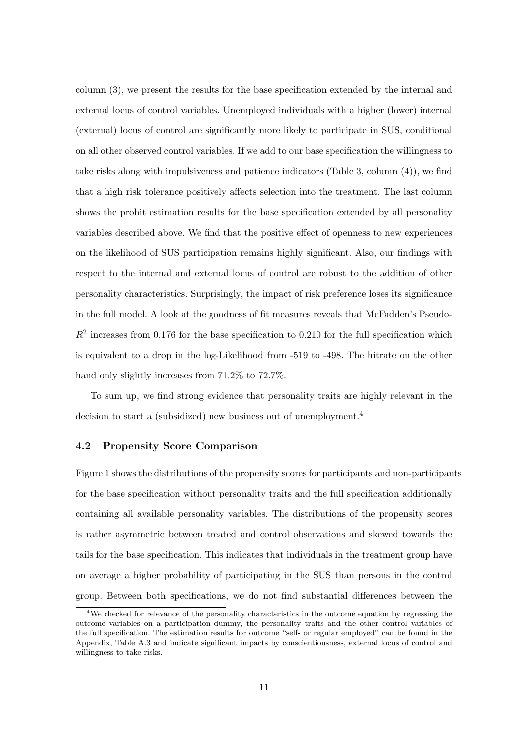column (3), we present the results for the base specification extended by the internal and external locus of control variables. Unemployed individuals with a higher (lower) internal (external) locus of control are significantly more likely to participate in SUS, conditional on all other observed control variables. If we add to our base specification the willingness to take risks along with impulsiveness and patience indicators (Table 3, column (4)), we find that a high risk tolerance positively affects selection into the treatment. The last column shows the probit estimation results for the base specification extended by all personality variables described above. We find that the positive effect of openness to new experiences on the likelihood of SUS participation remains highly significant. Also, our findings with respect to the internal and external locus of control are robust to the addition of other personality characteristics. Surprisingly, the impact of risk preference loses its significance in the full model. A look at the goodness of fit measures reveals that McFadden's Pseudo- $R<sup>2</sup>$  increases from 0.176 for the base specification to 0.210 for the full specification which is equivalent to a drop in the log-Likelihood from -519 to -498. The hitrate on the other hand only slightly increases from 71.2% to 72.7%.

To sum up, we find strong evidence that personality traits are highly relevant in the decision to start a (subsidized) new business out of unemployment.<sup>4</sup>

#### 4.2 Propensity Score Comparison

Figure 1 shows the distributions of the propensity scores for participants and non-participants for the base specification without personality traits and the full specification additionally containing all available personality variables. The distributions of the propensity scores is rather asymmetric between treated and control observations and skewed towards the tails for the base specification. This indicates that individuals in the treatment group have on average a higher probability of participating in the SUS than persons in the control group. Between both specifications, we do not find substantial differences between the

<sup>4</sup>We checked for relevance of the personality characteristics in the outcome equation by regressing the outcome variables on a participation dummy, the personality traits and the other control variables of the full specification. The estimation results for outcome "self- or regular employed" can be found in the Appendix, Table A.3 and indicate significant impacts by conscientiousness, external locus of control and willingness to take risks.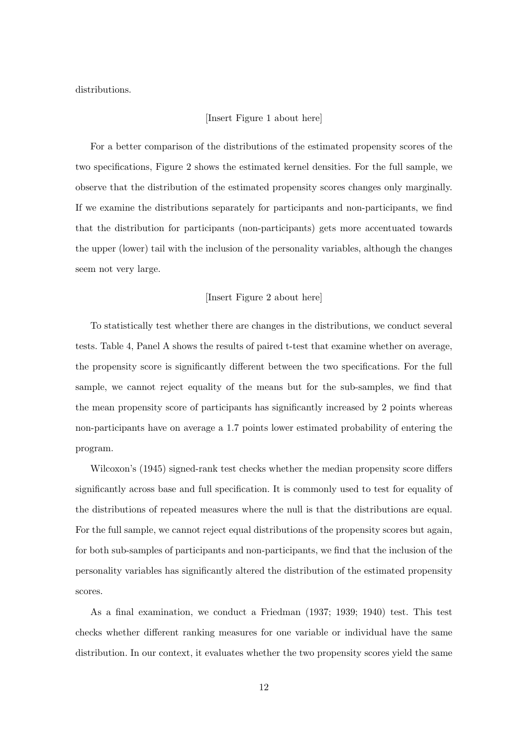distributions.

#### [Insert Figure 1 about here]

For a better comparison of the distributions of the estimated propensity scores of the two specifications, Figure 2 shows the estimated kernel densities. For the full sample, we observe that the distribution of the estimated propensity scores changes only marginally. If we examine the distributions separately for participants and non-participants, we find that the distribution for participants (non-participants) gets more accentuated towards the upper (lower) tail with the inclusion of the personality variables, although the changes seem not very large.

#### [Insert Figure 2 about here]

To statistically test whether there are changes in the distributions, we conduct several tests. Table 4, Panel A shows the results of paired t-test that examine whether on average, the propensity score is significantly different between the two specifications. For the full sample, we cannot reject equality of the means but for the sub-samples, we find that the mean propensity score of participants has significantly increased by 2 points whereas non-participants have on average a 1.7 points lower estimated probability of entering the program.

Wilcoxon's (1945) signed-rank test checks whether the median propensity score differs significantly across base and full specification. It is commonly used to test for equality of the distributions of repeated measures where the null is that the distributions are equal. For the full sample, we cannot reject equal distributions of the propensity scores but again, for both sub-samples of participants and non-participants, we find that the inclusion of the personality variables has significantly altered the distribution of the estimated propensity scores.

As a final examination, we conduct a Friedman (1937; 1939; 1940) test. This test checks whether different ranking measures for one variable or individual have the same distribution. In our context, it evaluates whether the two propensity scores yield the same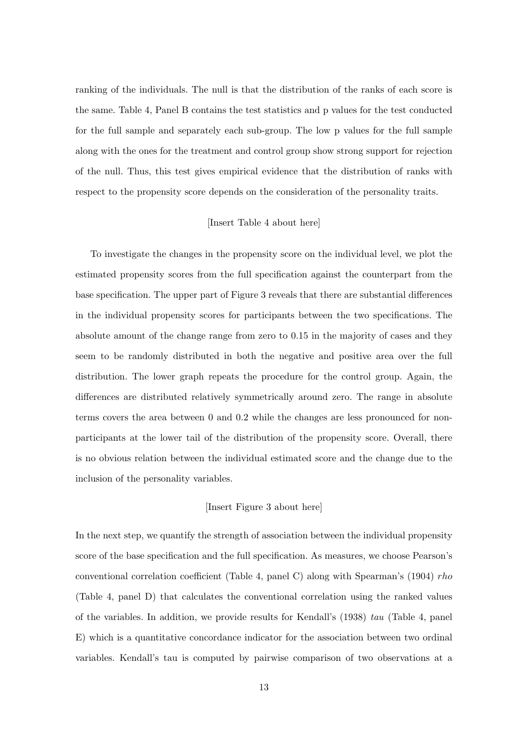ranking of the individuals. The null is that the distribution of the ranks of each score is the same. Table 4, Panel B contains the test statistics and p values for the test conducted for the full sample and separately each sub-group. The low p values for the full sample along with the ones for the treatment and control group show strong support for rejection of the null. Thus, this test gives empirical evidence that the distribution of ranks with respect to the propensity score depends on the consideration of the personality traits.

#### [Insert Table 4 about here]

To investigate the changes in the propensity score on the individual level, we plot the estimated propensity scores from the full specification against the counterpart from the base specification. The upper part of Figure 3 reveals that there are substantial differences in the individual propensity scores for participants between the two specifications. The absolute amount of the change range from zero to 0.15 in the majority of cases and they seem to be randomly distributed in both the negative and positive area over the full distribution. The lower graph repeats the procedure for the control group. Again, the differences are distributed relatively symmetrically around zero. The range in absolute terms covers the area between 0 and 0.2 while the changes are less pronounced for nonparticipants at the lower tail of the distribution of the propensity score. Overall, there is no obvious relation between the individual estimated score and the change due to the inclusion of the personality variables.

#### [Insert Figure 3 about here]

In the next step, we quantify the strength of association between the individual propensity score of the base specification and the full specification. As measures, we choose Pearson's conventional correlation coefficient (Table 4, panel C) along with Spearman's (1904) rho (Table 4, panel D) that calculates the conventional correlation using the ranked values of the variables. In addition, we provide results for Kendall's (1938) tau (Table 4, panel E) which is a quantitative concordance indicator for the association between two ordinal variables. Kendall's tau is computed by pairwise comparison of two observations at a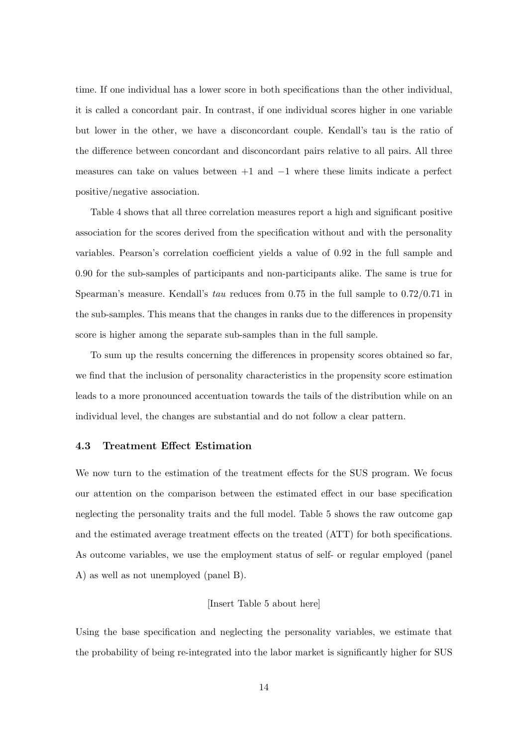time. If one individual has a lower score in both specifications than the other individual, it is called a concordant pair. In contrast, if one individual scores higher in one variable but lower in the other, we have a disconcordant couple. Kendall's tau is the ratio of the difference between concordant and disconcordant pairs relative to all pairs. All three measures can take on values between  $+1$  and  $-1$  where these limits indicate a perfect positive/negative association.

Table 4 shows that all three correlation measures report a high and significant positive association for the scores derived from the specification without and with the personality variables. Pearson's correlation coefficient yields a value of 0.92 in the full sample and 0.90 for the sub-samples of participants and non-participants alike. The same is true for Spearman's measure. Kendall's tau reduces from 0.75 in the full sample to 0.72/0.71 in the sub-samples. This means that the changes in ranks due to the differences in propensity score is higher among the separate sub-samples than in the full sample.

To sum up the results concerning the differences in propensity scores obtained so far, we find that the inclusion of personality characteristics in the propensity score estimation leads to a more pronounced accentuation towards the tails of the distribution while on an individual level, the changes are substantial and do not follow a clear pattern.

#### 4.3 Treatment Effect Estimation

We now turn to the estimation of the treatment effects for the SUS program. We focus our attention on the comparison between the estimated effect in our base specification neglecting the personality traits and the full model. Table 5 shows the raw outcome gap and the estimated average treatment effects on the treated (ATT) for both specifications. As outcome variables, we use the employment status of self- or regular employed (panel A) as well as not unemployed (panel B).

#### [Insert Table 5 about here]

Using the base specification and neglecting the personality variables, we estimate that the probability of being re-integrated into the labor market is significantly higher for SUS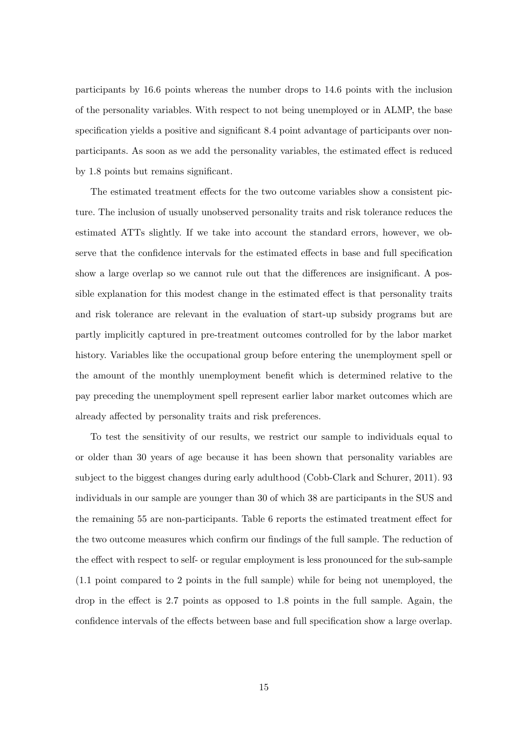participants by 16.6 points whereas the number drops to 14.6 points with the inclusion of the personality variables. With respect to not being unemployed or in ALMP, the base specification yields a positive and significant 8.4 point advantage of participants over nonparticipants. As soon as we add the personality variables, the estimated effect is reduced by 1.8 points but remains significant.

The estimated treatment effects for the two outcome variables show a consistent picture. The inclusion of usually unobserved personality traits and risk tolerance reduces the estimated ATTs slightly. If we take into account the standard errors, however, we observe that the confidence intervals for the estimated effects in base and full specification show a large overlap so we cannot rule out that the differences are insignificant. A possible explanation for this modest change in the estimated effect is that personality traits and risk tolerance are relevant in the evaluation of start-up subsidy programs but are partly implicitly captured in pre-treatment outcomes controlled for by the labor market history. Variables like the occupational group before entering the unemployment spell or the amount of the monthly unemployment benefit which is determined relative to the pay preceding the unemployment spell represent earlier labor market outcomes which are already affected by personality traits and risk preferences.

To test the sensitivity of our results, we restrict our sample to individuals equal to or older than 30 years of age because it has been shown that personality variables are subject to the biggest changes during early adulthood (Cobb-Clark and Schurer, 2011). 93 individuals in our sample are younger than 30 of which 38 are participants in the SUS and the remaining 55 are non-participants. Table 6 reports the estimated treatment effect for the two outcome measures which confirm our findings of the full sample. The reduction of the effect with respect to self- or regular employment is less pronounced for the sub-sample (1.1 point compared to 2 points in the full sample) while for being not unemployed, the drop in the effect is 2.7 points as opposed to 1.8 points in the full sample. Again, the confidence intervals of the effects between base and full specification show a large overlap.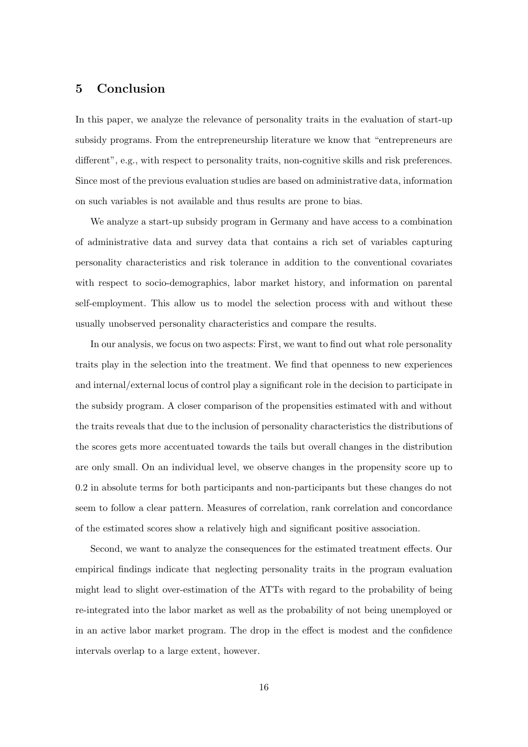## 5 Conclusion

In this paper, we analyze the relevance of personality traits in the evaluation of start-up subsidy programs. From the entrepreneurship literature we know that "entrepreneurs are different", e.g., with respect to personality traits, non-cognitive skills and risk preferences. Since most of the previous evaluation studies are based on administrative data, information on such variables is not available and thus results are prone to bias.

We analyze a start-up subsidy program in Germany and have access to a combination of administrative data and survey data that contains a rich set of variables capturing personality characteristics and risk tolerance in addition to the conventional covariates with respect to socio-demographics, labor market history, and information on parental self-employment. This allow us to model the selection process with and without these usually unobserved personality characteristics and compare the results.

In our analysis, we focus on two aspects: First, we want to find out what role personality traits play in the selection into the treatment. We find that openness to new experiences and internal/external locus of control play a significant role in the decision to participate in the subsidy program. A closer comparison of the propensities estimated with and without the traits reveals that due to the inclusion of personality characteristics the distributions of the scores gets more accentuated towards the tails but overall changes in the distribution are only small. On an individual level, we observe changes in the propensity score up to 0.2 in absolute terms for both participants and non-participants but these changes do not seem to follow a clear pattern. Measures of correlation, rank correlation and concordance of the estimated scores show a relatively high and significant positive association.

Second, we want to analyze the consequences for the estimated treatment effects. Our empirical findings indicate that neglecting personality traits in the program evaluation might lead to slight over-estimation of the ATTs with regard to the probability of being re-integrated into the labor market as well as the probability of not being unemployed or in an active labor market program. The drop in the effect is modest and the confidence intervals overlap to a large extent, however.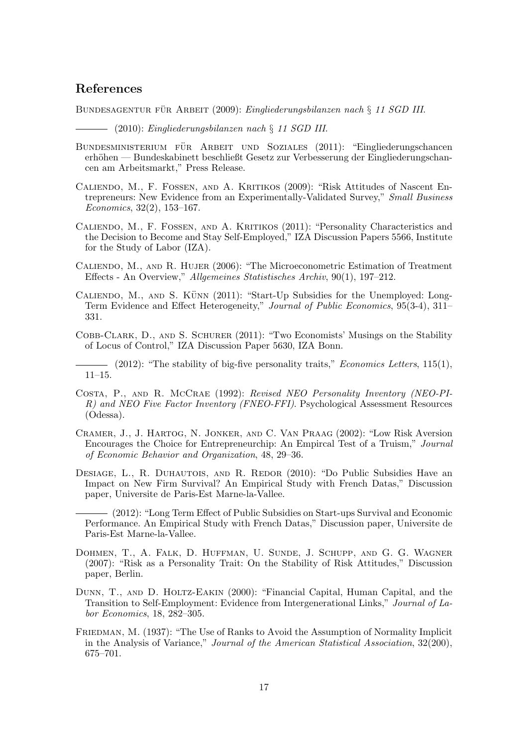## References

BUNDESAGENTUR FÜR ARBEIT (2009): Eingliederungsbilanzen nach § 11 SGD III.

(2010): Eingliederungsbilanzen nach § 11 SGD III.

- BUNDESMINISTERIUM FÜR ARBEIT UND SOZIALES (2011): "Eingliederungschancen erhöhen — Bundeskabinett beschließt Gesetz zur Verbesserung der Eingliederungschancen am Arbeitsmarkt," Press Release.
- Caliendo, M., F. Fossen, and A. Kritikos (2009): "Risk Attitudes of Nascent Entrepreneurs: New Evidence from an Experimentally-Validated Survey," Small Business Economics, 32(2), 153–167.
- Caliendo, M., F. Fossen, and A. Kritikos (2011): "Personality Characteristics and the Decision to Become and Stay Self-Employed," IZA Discussion Papers 5566, Institute for the Study of Labor (IZA).
- Caliendo, M., and R. Hujer (2006): "The Microeconometric Estimation of Treatment Effects - An Overview," Allgemeines Statistisches Archiv, 90(1), 197–212.
- CALIENDO, M., AND S. KÜNN  $(2011)$ : "Start-Up Subsidies for the Unemployed: Long-Term Evidence and Effect Heterogeneity," Journal of Public Economics, 95(3-4), 311– 331.
- Cobb-Clark, D., and S. Schurer (2011): "Two Economists' Musings on the Stability of Locus of Control," IZA Discussion Paper 5630, IZA Bonn.

 $-$  (2012): "The stability of big-five personality traits," *Economics Letters*, 115(1), 11–15.

- Costa, P., and R. McCrae (1992): Revised NEO Personality Inventory (NEO-PI-R) and NEO Five Factor Inventory (FNEO-FFI). Psychological Assessment Resources (Odessa).
- Cramer, J., J. Hartog, N. Jonker, and C. Van Praag (2002): "Low Risk Aversion Encourages the Choice for Entrepreneurchip: An Empircal Test of a Truism," Journal of Economic Behavior and Organization, 48, 29–36.
- DESIAGE, L., R. DUHAUTOIS, AND R. REDOR (2010): "Do Public Subsidies Have an Impact on New Firm Survival? An Empirical Study with French Datas," Discussion paper, Universite de Paris-Est Marne-la-Vallee.

(2012): "Long Term Effect of Public Subsidies on Start-ups Survival and Economic Performance. An Empirical Study with French Datas," Discussion paper, Universite de Paris-Est Marne-la-Vallee.

- Dohmen, T., A. Falk, D. Huffman, U. Sunde, J. Schupp, and G. G. Wagner (2007): "Risk as a Personality Trait: On the Stability of Risk Attitudes," Discussion paper, Berlin.
- Dunn, T., and D. Holtz-Eakin (2000): "Financial Capital, Human Capital, and the Transition to Self-Employment: Evidence from Intergenerational Links," Journal of Labor Economics, 18, 282–305.
- Friedman, M. (1937): "The Use of Ranks to Avoid the Assumption of Normality Implicit in the Analysis of Variance," Journal of the American Statistical Association, 32(200), 675–701.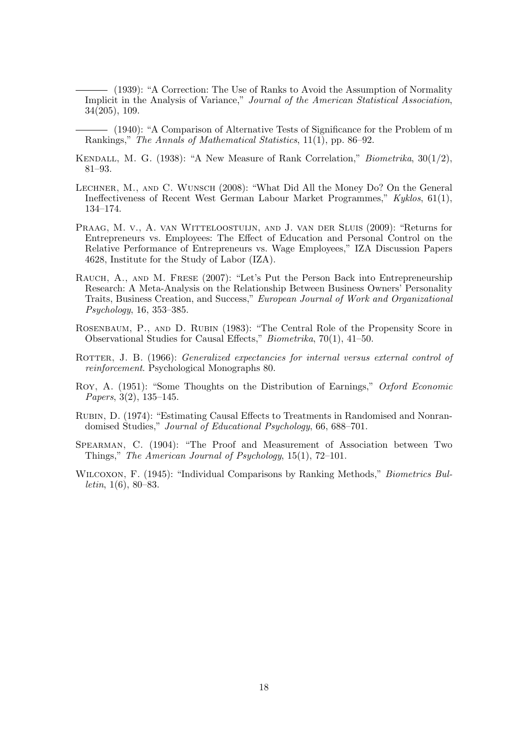(1939): "A Correction: The Use of Ranks to Avoid the Assumption of Normality Implicit in the Analysis of Variance," Journal of the American Statistical Association, 34(205), 109.

(1940): "A Comparison of Alternative Tests of Significance for the Problem of m Rankings," The Annals of Mathematical Statistics, 11(1), pp. 86–92.

- Kendall, M. G. (1938): "A New Measure of Rank Correlation," Biometrika, 30(1/2), 81–93.
- Lechner, M., and C. Wunsch (2008): "What Did All the Money Do? On the General Ineffectiveness of Recent West German Labour Market Programmes," Kyklos, 61(1), 134–174.
- Praag, M. v., A. van Witteloostuijn, and J. van der Sluis (2009): "Returns for Entrepreneurs vs. Employees: The Effect of Education and Personal Control on the Relative Performance of Entrepreneurs vs. Wage Employees," IZA Discussion Papers 4628, Institute for the Study of Labor (IZA).
- Rauch, A., and M. Frese (2007): "Let's Put the Person Back into Entrepreneurship Research: A Meta-Analysis on the Relationship Between Business Owners' Personality Traits, Business Creation, and Success," European Journal of Work and Organizational Psychology, 16, 353–385.
- Rosenbaum, P., and D. Rubin (1983): "The Central Role of the Propensity Score in Observational Studies for Causal Effects," Biometrika, 70(1), 41–50.
- ROTTER, J. B. (1966): *Generalized expectancies for internal versus external control of* reinforcement. Psychological Monographs 80.
- Roy, A. (1951): "Some Thoughts on the Distribution of Earnings," Oxford Economic Papers, 3(2), 135–145.
- Rubin, D. (1974): "Estimating Causal Effects to Treatments in Randomised and Nonrandomised Studies," Journal of Educational Psychology, 66, 688–701.
- SPEARMAN, C. (1904): "The Proof and Measurement of Association between Two Things," The American Journal of Psychology, 15(1), 72–101.
- WILCOXON, F. (1945): "Individual Comparisons by Ranking Methods," *Biometrics Bulletin*,  $1(6)$ ,  $80-83$ .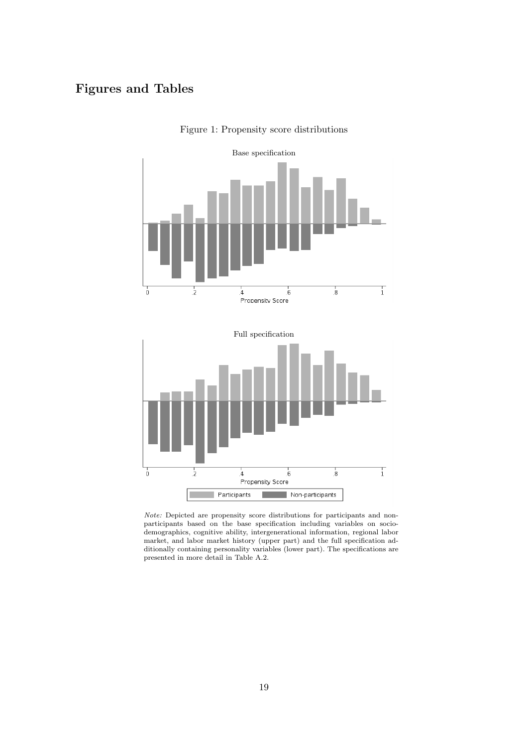## Figures and Tables



Figure 1: Propensity score distributions

Note: Depicted are propensity score distributions for participants and nonparticipants based on the base specification including variables on sociodemographics, cognitive ability, intergenerational information, regional labor market, and labor market history (upper part) and the full specification additionally containing personality variables (lower part). The specifications are presented in more detail in Table A.2.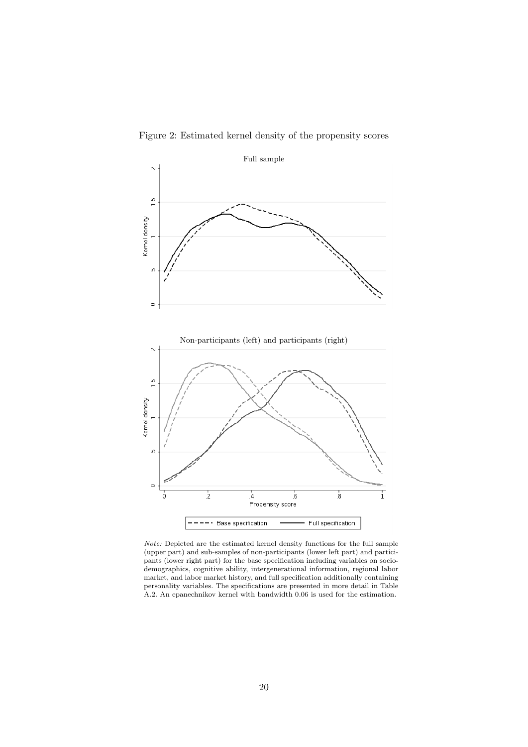

Figure 2: Estimated kernel density of the propensity scores

Note: Depicted are the estimated kernel density functions for the full sample (upper part) and sub-samples of non-participants (lower left part) and participants (lower right part) for the base specification including variables on sociodemographics, cognitive ability, intergenerational information, regional labor market, and labor market history, and full specification additionally containing personality variables. The specifications are presented in more detail in Table A.2. An epanechnikov kernel with bandwidth 0.06 is used for the estimation.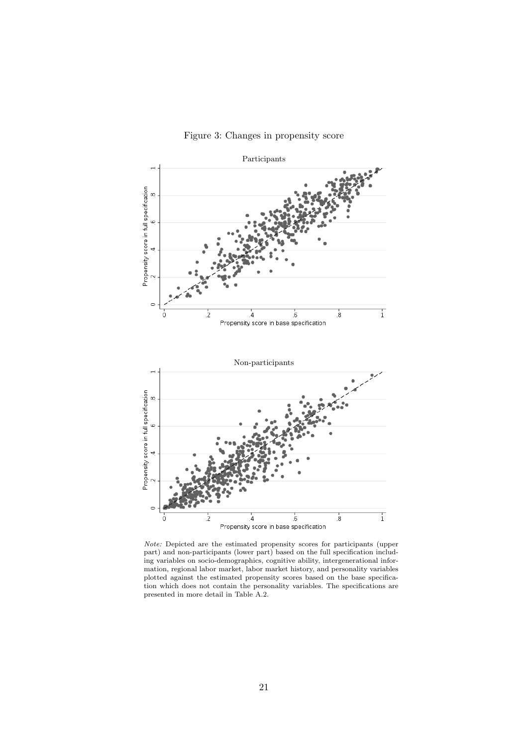

Propensity score in full specification

 $\epsilon$ 

i

 $\frac{1}{2}$ 





 $\frac{1}{2}$ 

Propensity score in base specification

 $\overline{6}$ 

 $\overline{1}$ 

8.

Note: Depicted are the estimated propensity scores for participants (upper part) and non-participants (lower part) based on the full specification including variables on socio-demographics, cognitive ability, intergenerational information, regional labor market, labor market history, and personality variables plotted against the estimated propensity scores based on the base specification which does not contain the personality variables. The specifications are presented in more detail in Table A.2.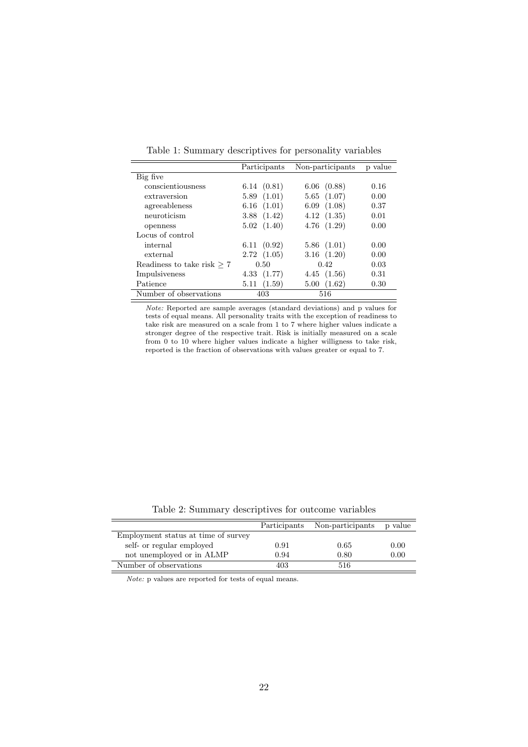|                              | Participants   | Non-participants | p value |
|------------------------------|----------------|------------------|---------|
| Big five                     |                |                  |         |
| conscientiousness            | 6.14(0.81)     | $6.06$ $(0.88)$  | 0.16    |
| extraversion                 | 5.89(1.01)     | 5.65(1.07)       | 0.00    |
| agreeableness                | 6.16(1.01)     | 6.09(1.08)       | 0.37    |
| neuroticism                  | 3.88(1.42)     | 4.12(1.35)       | 0.01    |
| openness                     | 5.02(1.40)     | 4.76(1.29)       | 0.00    |
| Locus of control             |                |                  |         |
| internal                     | 6.11(0.92)     | 5.86(1.01)       | 0.00    |
| external                     | 2.72(1.05)     | 3.16(1.20)       | 0.00    |
| Readiness to take risk $> 7$ | 0.50           | 0.42             | 0.03    |
| Impulsiveness                | 4.33(1.77)     | 4.45(1.56)       | 0.31    |
| Patience                     | (1.59)<br>5.11 | (1.62)<br>5.00   | 0.30    |
| Number of observations       | 403            | 516              |         |

Table 1: Summary descriptives for personality variables

Note: Reported are sample averages (standard deviations) and p values for tests of equal means. All personality traits with the exception of readiness to take risk are measured on a scale from 1 to 7 where higher values indicate a stronger degree of the respective trait. Risk is initially measured on a scale from 0 to 10 where higher values indicate a higher willigness to take risk, reported is the fraction of observations with values greater or equal to 7.

Table 2: Summary descriptives for outcome variables

|                                     |      | Participants Non-participants | p value |
|-------------------------------------|------|-------------------------------|---------|
| Employment status at time of survey |      |                               |         |
| self- or regular employed           | 0.91 | 0.65                          | 0.00    |
| not unemployed or in ALMP           | 0.94 | 0.80                          | 0.00    |
| Number of observations              | 403  | 516                           |         |

Note: p values are reported for tests of equal means.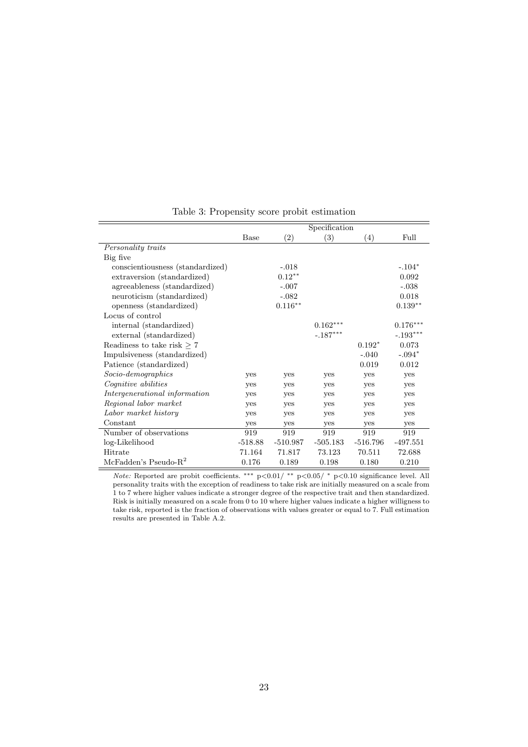|                                  |             |                    | Specification |            |            |
|----------------------------------|-------------|--------------------|---------------|------------|------------|
|                                  | <b>Base</b> | (2)                | (3)           | (4)        | Full       |
| Personality traits               |             |                    |               |            |            |
| Big five                         |             |                    |               |            |            |
| conscientiousness (standardized) |             | $-.018$            |               |            | $-.104*$   |
| extraversion (standardized)      |             | $0.12***$          |               |            | 0.092      |
| agreeableness (standardized)     |             | $-.007$            |               |            | $-.038$    |
| neuroticism (standardized)       |             | $-.082$            |               |            | 0.018      |
| openness (standardized)          |             | $0.116^{\ast\ast}$ |               |            | $0.139**$  |
| Locus of control                 |             |                    |               |            |            |
| internal (standardized)          |             |                    | $0.162***$    |            | $0.176***$ |
| external (standardized)          |             |                    | $-.187***$    |            | $-.193***$ |
| Readiness to take risk $> 7$     |             |                    |               | $0.192*$   | 0.073      |
| Impulsiveness (standardized)     |             |                    |               | $-.040$    | $-.094*$   |
| Patience (standardized)          |             |                    |               | 0.019      | 0.012      |
| $Socio-dependengraphics$         | yes         | yes                | yes           | yes        | yes        |
| <i>Cognitive abilities</i>       | yes         | yes                | yes           | yes        | yes        |
| Intergenerational information    | yes         | yes                | yes           | yes        | yes        |
| Regional labor market            | yes         | yes                | yes           | yes        | yes        |
| Labor market history             | yes         | yes                | yes           | yes        | yes        |
| Constant                         | yes         | yes                | yes           | yes        | yes        |
| Number of observations           | 919         | 919                | 919           | 919        | 919        |
| log-Likelihood                   | $-518.88$   | $-510.987$         | $-505.183$    | $-516.796$ | $-497.551$ |
| Hitrate                          | 71.164      | 71.817             | 73.123        | 70.511     | 72.688     |
| McFadden's Pseudo- $R^2$         | 0.176       | 0.189              | 0.198         | 0.180      | 0.210      |

Table 3: Propensity score probit estimation

Note: Reported are probit coefficients. \*\*\* p<0.01/ \*\* p<0.05/ \* p<0.10 significance level. All personality traits with the exception of readiness to take risk are initially measured on a scale from 1 to 7 where higher values indicate a stronger degree of the respective trait and then standardized. Risk is initially measured on a scale from 0 to 10 where higher values indicate a higher willigness to take risk, reported is the fraction of observations with values greater or equal to 7. Full estimation results are presented in Table A.2.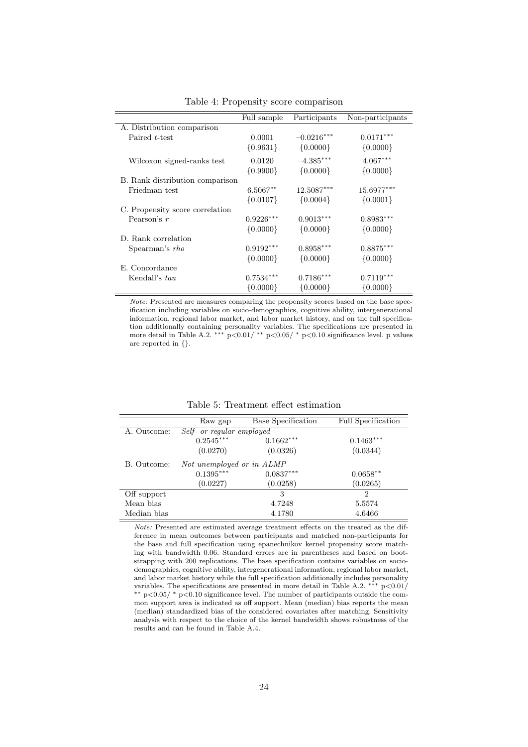|                                 | Full sample | Participants | Non-participants |
|---------------------------------|-------------|--------------|------------------|
| A. Distribution comparison      |             |              |                  |
| Paired t-test                   | 0.0001      | $-0.0216***$ | $0.0171***$      |
|                                 | ${0.9631}$  | ${0.0000}$   | $\{0.0000\}$     |
| Wilcoxon signed-ranks test      | 0.0120      | $-4.385***$  | $4.067***$       |
|                                 | ${0.9900}$  | ${0.0000}$   | ${0.0000}$       |
| B. Rank distribution comparison |             |              |                  |
| Friedman test                   | $6.5067**$  | $12.5087***$ | 15.6977***       |
|                                 | ${0.0107}$  | ${0.0004}$   | ${0.0001}$       |
| C. Propensity score correlation |             |              |                  |
| Pearson's $r$                   | $0.9226***$ | $0.9013***$  | $0.8983***$      |
|                                 | ${0.0000}$  | ${0.0000}$   | ${0.0000}$       |
| D. Rank correlation             |             |              |                  |
| Spearman's rho                  | $0.9192***$ | $0.8958***$  | $0.8875***$      |
|                                 | ${0.0000}$  | ${0.0000}$   | ${0.0000}$       |
| E. Concordance                  |             |              |                  |
| Kendall's tau                   | $0.7534***$ | $0.7186***$  | $0.7119***$      |
|                                 | ${0.0000}$  | ${0.0000}$   | ${0.0000}$       |

Table 4: Propensity score comparison

Note: Presented are measures comparing the propensity scores based on the base specification including variables on socio-demographics, cognitive ability, intergenerational information, regional labor market, and labor market history, and on the full specification additionally containing personality variables. The specifications are presented in more detail in Table A.2. \*\*\*  $p<0.01$ / \*\*  $p<0.05$ / \*  $p<0.10$  significance level. p values are reported in {}.

|             | Raw gap                   | Base Specification | <b>Full Specification</b> |
|-------------|---------------------------|--------------------|---------------------------|
| A. Outcome: | Self- or regular employed |                    |                           |
|             | $0.2545***$               | $0.1662***$        | $0.1463***$               |
|             | (0.0270)                  | (0.0326)           | (0.0344)                  |
| B. Outcome: | Not unemployed or in ALMP |                    |                           |
|             | $0.1395***$               | $0.0837***$        | $0.0658***$               |
|             | (0.0227)                  | (0.0258)           | (0.0265)                  |
| Off support |                           | 3                  | $\overline{2}$            |
| Mean bias   |                           | 4.7248             | 5.5574                    |
| Median bias |                           | 4.1780             | 4.6466                    |

Table 5: Treatment effect estimation

Note: Presented are estimated average treatment effects on the treated as the difference in mean outcomes between participants and matched non-participants for the base and full specification using epanechnikov kernel propensity score matching with bandwidth 0.06. Standard errors are in parentheses and based on bootstrapping with 200 replications. The base specification contains variables on sociodemographics, cognitive ability, intergenerational information, regional labor market, and labor market history while the full specification additionally includes personality variables. The specifications are presented in more detail in Table A.2. <sup>\*\*\*</sup> p<0.01/ ∗∗ p<0.05/ <sup>∗</sup> p<0.10 significance level. The number of participants outside the common support area is indicated as off support. Mean (median) bias reports the mean (median) standardized bias of the considered covariates after matching. Sensitivity analysis with respect to the choice of the kernel bandwidth shows robustness of the results and can be found in Table A.4.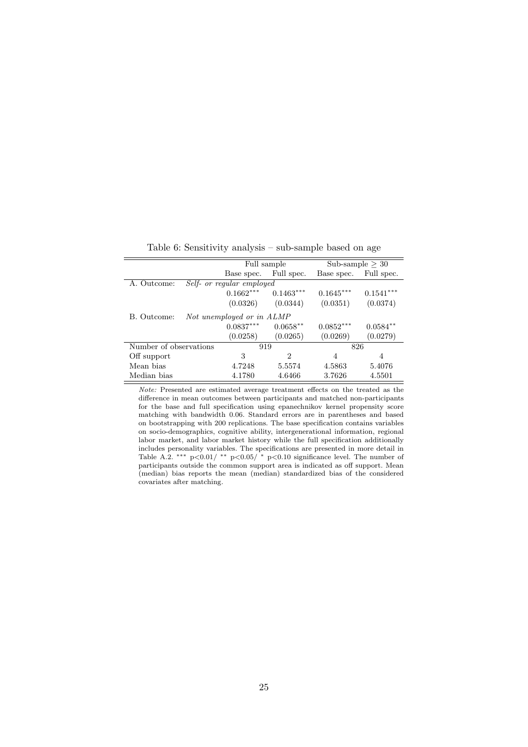|                        |                           | Full sample |             | Sub-sample $>$ 30 |
|------------------------|---------------------------|-------------|-------------|-------------------|
|                        | Base spec.                | Full spec.  | Base spec.  | Full spec.        |
| A. Outcome:            | Self- or regular employed |             |             |                   |
|                        | $0.1662***$               | $0.1463***$ | $0.1645***$ | $0.1541***$       |
|                        | (0.0326)                  | (0.0344)    | (0.0351)    | (0.0374)          |
| B. Outcome:            | Not unemployed or in ALMP |             |             |                   |
|                        | $0.0837***$               | $0.0658**$  | $0.0852***$ | $0.0584**$        |
|                        | (0.0258)                  | (0.0265)    | (0.0269)    | (0.0279)          |
| Number of observations |                           | 919         | 826         |                   |
| Off support            | 3                         | 2           | 4           | 4                 |
| Mean bias              | 4.7248                    | 5.5574      | 4.5863      | 5.4076            |
| Median bias            | 4.1780                    | 4.6466      | 3.7626      | 4.5501            |

Table 6: Sensitivity analysis – sub-sample based on age

Note: Presented are estimated average treatment effects on the treated as the difference in mean outcomes between participants and matched non-participants for the base and full specification using epanechnikov kernel propensity score matching with bandwidth 0.06. Standard errors are in parentheses and based on bootstrapping with 200 replications. The base specification contains variables on socio-demographics, cognitive ability, intergenerational information, regional labor market, and labor market history while the full specification additionally includes personality variables. The specifications are presented in more detail in Table A.2. \*\*\*  $p<0.01$ / \*\*  $p<0.05$ / \*  $p<0.10$  significance level. The number of participants outside the common support area is indicated as off support. Mean (median) bias reports the mean (median) standardized bias of the considered covariates after matching.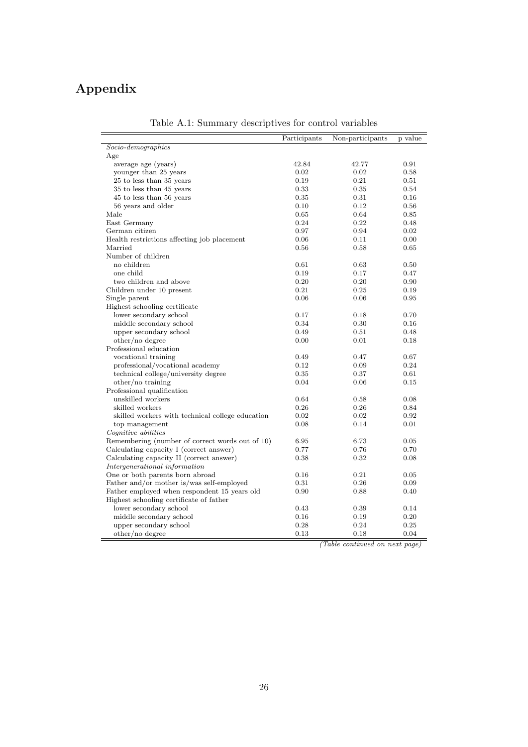## Appendix

|                                                  | Participants | Non-participants | p value |
|--------------------------------------------------|--------------|------------------|---------|
| $Socio-dependengraphics$                         |              |                  |         |
| Age                                              |              |                  |         |
| average age (years)                              | 42.84        | 42.77            | 0.91    |
| younger than 25 years                            | 0.02         | 0.02             | 0.58    |
| 25 to less than 35 years                         | 0.19         | 0.21             | 0.51    |
| 35 to less than 45 years                         | 0.33         | 0.35             | 0.54    |
| 45 to less than 56 years                         | 0.35         | 0.31             | 0.16    |
| 56 years and older                               | 0.10         | 0.12             | 0.56    |
| Male                                             | 0.65         | 0.64             | 0.85    |
| East Germany                                     | 0.24         | 0.22             | 0.48    |
| German citizen                                   | 0.97         | 0.94             | 0.02    |
| Health restrictions affecting job placement      | 0.06         | 0.11             | 0.00    |
| Married                                          | 0.56         | 0.58             | 0.65    |
| Number of children                               |              |                  |         |
| no children                                      | 0.61         | 0.63             | 0.50    |
| one child                                        | 0.19         | 0.17             | 0.47    |
| two children and above                           | 0.20         | 0.20             | 0.90    |
| Children under 10 present                        | 0.21         | 0.25             | 0.19    |
| Single parent                                    | 0.06         | 0.06             | 0.95    |
| Highest schooling certificate                    |              |                  |         |
| lower secondary school                           | 0.17         | 0.18             | 0.70    |
| middle secondary school                          | 0.34         | 0.30             | 0.16    |
| upper secondary school                           | 0.49         | 0.51             | 0.48    |
| other/no degree                                  | 0.00         | 0.01             | 0.18    |
| Professional education                           |              |                  |         |
| vocational training                              | 0.49         | 0.47             | 0.67    |
| professional/vocational academy                  | 0.12         | 0.09             | 0.24    |
| technical college/university degree              | 0.35         | 0.37             | 0.61    |
| other/no training                                | 0.04         | 0.06             | 0.15    |
| Professional qualification                       |              |                  |         |
| unskilled workers                                | 0.64         | 0.58             | 0.08    |
| skilled workers                                  | $0.26\,$     | 0.26             | 0.84    |
| skilled workers with technical college education | 0.02         | 0.02             | 0.92    |
| top management                                   | 0.08         | 0.14             | 0.01    |
| Cognitive abilities                              |              |                  |         |
| Remembering (number of correct words out of 10)  | 6.95         | 6.73             | 0.05    |
| Calculating capacity I (correct answer)          | 0.77         | 0.76             | 0.70    |
| Calculating capacity II (correct answer)         | 0.38         | 0.32             | 0.08    |
| Intergenerational information                    |              |                  |         |
| One or both parents born abroad                  | 0.16         | 0.21             | 0.05    |
| Father and/or mother is/was self-employed        | 0.31         | 0.26             | 0.09    |
| Father employed when respondent 15 years old     | 0.90         | 0.88             | 0.40    |
| Highest schooling certificate of father          |              |                  |         |
| lower secondary school                           | 0.43         | 0.39             | 0.14    |
| middle secondary school                          | 0.16         | 0.19             | 0.20    |
| upper secondary school                           | 0.28         | 0.24             | 0.25    |
| other/no degree                                  | 0.13         | 0.18             | 0.04    |

Table A.1: Summary descriptives for control variables

(Table continued on next page)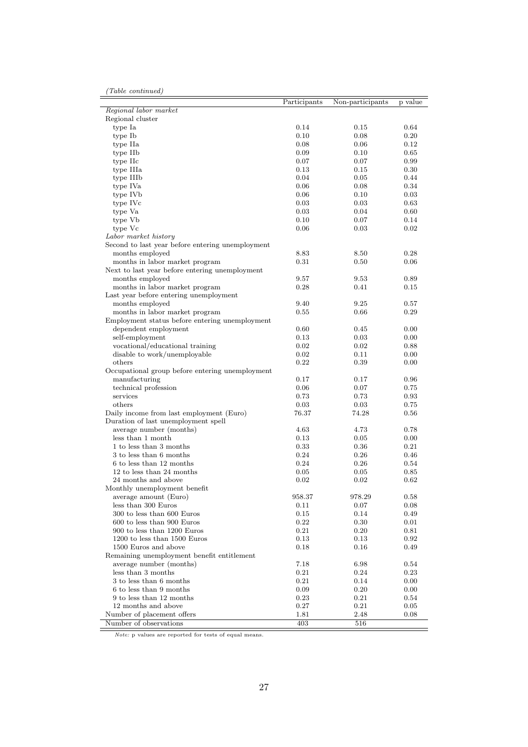|  | (Table continued) |
|--|-------------------|
|--|-------------------|

|                                                  | Participants | Non-participants | p value |
|--------------------------------------------------|--------------|------------------|---------|
| Regional labor market                            |              |                  |         |
| Regional cluster                                 |              |                  |         |
| type Ia                                          | 0.14         | $0.15\,$         | 0.64    |
| type Ib                                          | 0.10         | 0.08             | 0.20    |
| type IIa                                         | 0.08         | 0.06             | 0.12    |
| type IIb                                         | 0.09         | 0.10             | 0.65    |
| type IIc                                         | 0.07         | 0.07             | 0.99    |
| type IIIa                                        | 0.13         | 0.15             | 0.30    |
| type IIIb                                        | 0.04         | 0.05             | 0.44    |
| type IVa                                         | 0.06         | 0.08             | 0.34    |
| type IV <sub>b</sub>                             | 0.06         | 0.10             | 0.03    |
| type IVc                                         | 0.03         | 0.03             | 0.63    |
| type Va                                          | 0.03         | 0.04             | 0.60    |
| type Vb                                          | 0.10         | 0.07             | 0.14    |
| type Vc                                          | 0.06         | 0.03             | 0.02    |
| Labor market history                             |              |                  |         |
| Second to last year before entering unemployment |              |                  |         |
| months employed                                  | 8.83         | 8.50             | 0.28    |
| months in labor market program                   | 0.31         | 0.50             | 0.06    |
| Next to last year before entering unemployment   |              |                  |         |
| months employed                                  | 9.57         | 9.53             | 0.89    |
| months in labor market program                   | 0.28         | 0.41             | 0.15    |
| Last year before entering unemployment           |              |                  |         |
| months employed                                  | 9.40         | 9.25             | 0.57    |
| months in labor market program                   | 0.55         | 0.66             | 0.29    |
| Employment status before entering unemployment   |              |                  |         |
| dependent employment                             | 0.60         | 0.45             | 0.00    |
| self-employment                                  | 0.13         | 0.03             | 0.00    |
| vocational/educational training                  | 0.02         | 0.02             | 0.88    |
| disable to work/unemployable                     | 0.02         | 0.11             | 0.00    |
| others                                           | 0.22         | 0.39             | 0.00    |
| Occupational group before entering unemployment  |              |                  |         |
| manufacturing                                    | 0.17         | 0.17             | 0.96    |
| $\!$ technical profession                        | 0.06         | 0.07             | 0.75    |
| services                                         | 0.73         | 0.73             | 0.93    |
| others                                           | 0.03         | 0.03             | 0.75    |
| Daily income from last employment (Euro)         | 76.37        | 74.28            | 0.56    |
| Duration of last unemployment spell              |              |                  |         |
| average number (months)                          | 4.63         | 4.73             | 0.78    |
| less than 1 month                                | 0.13         | 0.05             | 0.00    |
| 1 to less than 3 months                          | 0.33         | 0.36             | 0.21    |
| 3 to less than 6 months                          | 0.24         | 0.26             | 0.46    |
| 6 to less than 12 months                         | 0.24         | 0.26             | 0.54    |
| 12 to less than 24 months                        | 0.05         | 0.05             | 0.85    |
| 24 months and above                              | 0.02         | 0.02             | 0.62    |
| Monthly unemployment benefit                     |              |                  |         |
| average amount (Euro)                            | 958.37       | 978.29           | 0.58    |
| less than 300 Euros                              | 0.11         | 0.07             | 0.08    |
| 300 to less than 600 Euros                       | 0.15         | 0.14             | 0.49    |
| 600 to less than 900 Euros                       | 0.22         | 0.30             | 0.01    |
| 900 to less than 1200 Euros                      | 0.21         | $0.20\,$         | 0.81    |
| 1200 to less than 1500 Euros                     | 0.13         | 0.13             | 0.92    |
| 1500 Euros and above                             | 0.18         | 0.16             | 0.49    |
| Remaining unemployment benefit entitlement       |              |                  |         |
| average number (months)                          | 7.18         | 6.98             | 0.54    |
| less than 3 months                               | 0.21         | 0.24             | 0.23    |
| 3 to less than 6 months                          | 0.21         | 0.14             | 0.00    |
| 6 to less than 9 months                          | 0.09         | 0.20             | 0.00    |
| 9 to less than 12 months                         | 0.23         | 0.21             | 0.54    |
| 12 months and above                              | 0.27         | 0.21             | 0.05    |
| Number of placement offers                       | 1.81         | 2.48             | 0.08    |
| Number of observations                           | 403          | $^{516}$         |         |
|                                                  |              |                  |         |

Note: p values are reported for tests of equal means.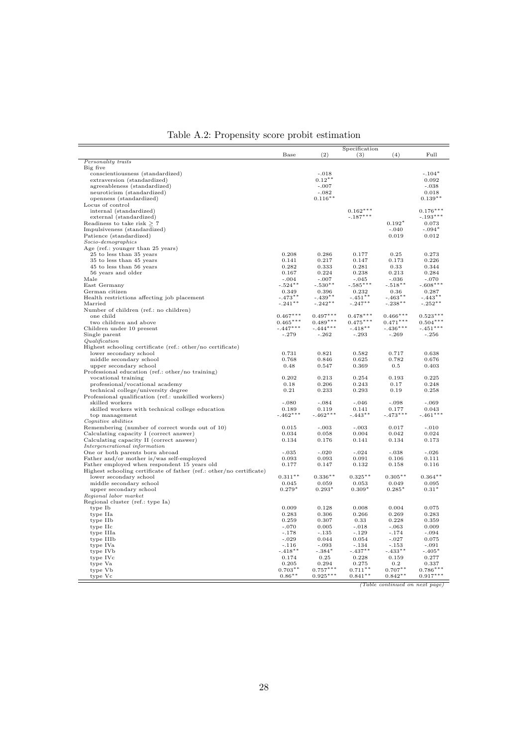|                                                                                            |                          |                          | Specification            |                          |                          |
|--------------------------------------------------------------------------------------------|--------------------------|--------------------------|--------------------------|--------------------------|--------------------------|
|                                                                                            | Base                     | (2)                      | (3)                      | (4)                      | Full                     |
| Personality traits                                                                         |                          |                          |                          |                          |                          |
| Big five                                                                                   |                          |                          |                          |                          |                          |
| conscientiousness (standardized)                                                           |                          | $-.018$                  |                          |                          | $-.104*$                 |
| extraversion (standardized)                                                                |                          | $0.12***$                |                          |                          | 0.092                    |
| agreeableness (standardized)                                                               |                          | $-.007$                  |                          |                          | $-.038$                  |
| neuroticism (standardized)                                                                 |                          | $-.082$                  |                          |                          | 0.018                    |
| openness (standardized)                                                                    |                          | $0.116**$                |                          |                          | $0.139**$                |
| Locus of control                                                                           |                          |                          |                          |                          |                          |
| internal (standardized)                                                                    |                          |                          | $0.162***$<br>$-.187***$ |                          | $0.176***$               |
| external (standardized)<br>Readiness to take risk $\geq 7$                                 |                          |                          |                          | $0.192*$                 | $-.193***$<br>0.073      |
| Impulsiveness (standardized)                                                               |                          |                          |                          | $-.040$                  | $-.094*$                 |
| Patience (standardized)                                                                    |                          |                          |                          | 0.019                    | 0.012                    |
| $Socio$ -demographics                                                                      |                          |                          |                          |                          |                          |
| Age (ref.: younger than 25 years)                                                          |                          |                          |                          |                          |                          |
| 25 to less than 35 years                                                                   | 0.208                    | 0.286                    | 0.177                    | 0.25                     | 0.273                    |
| 35 to less than 45 years                                                                   | 0.141                    | 0.217                    | 0.147                    | 0.173                    | 0.226                    |
| 45 to less than 56 years                                                                   | 0.282                    | 0.333                    | 0.281                    | 0.33                     | 0.344                    |
| 56 years and older                                                                         | 0.167                    | 0.224                    | 0.238                    | 0.213                    | 0.284                    |
| Male                                                                                       | $-.004$                  | $-.007$                  | $-.045$                  | $-.036$                  | $-.070$                  |
| East Germany                                                                               | $-.524**$                | $-.530**$                | $-.585***$               | $-.518**$                | $-.608***$               |
| German citizen                                                                             | 0.349                    | 0.396                    | 0.232                    | 0.36                     | 0.287                    |
| Health restrictions affecting job placement                                                | $-.473**$                | $-.439**$                | $-.451***$               | $-.463**$                | $-.443**$                |
| Married                                                                                    | $-.241***$               | $-.242**$                | $-.247***$               | $-.238***$               | $-.252**$                |
| Number of children (ref.: no children)                                                     |                          |                          |                          |                          |                          |
| one child                                                                                  | $0.467***$               | $0.497***$<br>$0.489***$ | $0.478***$               | $0.466***$               | $0.523***$               |
| two children and above                                                                     | $0.465***$<br>$-.447***$ | $-.444***$               | $0.475***$               | $0.471***$<br>$-.436***$ | $0.504***$<br>$-.451***$ |
| Children under 10 present<br>Single parent                                                 | $-.279$                  | $-.262$                  | $-.418**$<br>$-.293$     | $-.269$                  | $-.256$                  |
| Qualification                                                                              |                          |                          |                          |                          |                          |
| Highest schooling certificate (ref.: other/no certificate)                                 |                          |                          |                          |                          |                          |
| lower secondary school                                                                     | 0.731                    | 0.821                    | 0.582                    | 0.717                    | 0.638                    |
| middle secondary school                                                                    | 0.768                    | 0.846                    | 0.625                    | 0.782                    | 0.676                    |
| upper secondary school                                                                     | 0.48                     | 0.547                    | 0.369                    | 0.5                      | 0.403                    |
| Professional education (ref.: other/no training)                                           |                          |                          |                          |                          |                          |
| vocational training                                                                        | 0.202                    | 0.213                    | 0.254                    | 0.193                    | 0.225                    |
| professional/vocational academy                                                            | 0.18                     | 0.206                    | 0.243                    | 0.17                     | 0.248                    |
| technical college/university degree                                                        | 0.21                     | 0.233                    | 0.293                    | 0.19                     | 0.258                    |
| Professional qualification (ref.: unskilled workers)                                       |                          |                          |                          |                          |                          |
| skilled workers                                                                            | $-.080$                  | $-.084$                  | $-.046$                  | $-.098$                  | $-.069$                  |
| skilled workers with technical college education                                           | 0.189                    | 0.119                    | 0.141                    | 0.177                    | 0.043                    |
| top management                                                                             | $-.462***$               | $-.462***$               | $-.443**$                | $-.473***$               | $-.461***$               |
| Cognitive abilities                                                                        | 0.015                    | $-.003$                  | $-.003$                  | 0.017                    | $-.010$                  |
| Remembering (number of correct words out of 10)<br>Calculating capacity I (correct answer) | 0.034                    | 0.058                    | 0.004                    | 0.042                    | 0.024                    |
| Calculating capacity II (correct answer)                                                   | 0.134                    | 0.176                    | 0.141                    | 0.134                    | 0.173                    |
| Intergenerational information                                                              |                          |                          |                          |                          |                          |
| One or both parents born abroad                                                            | $-.035$                  | $-.020$                  | $-.024$                  | $-.038$                  | $-.026$                  |
| Father and/or mother is/was self-employed                                                  | 0.093                    | 0.093                    | 0.091                    | 0.106                    | 0.111                    |
| Father employed when respondent 15 years old                                               | 0.177                    | 0.147                    | 0.132                    | 0.158                    | 0.116                    |
| Highest schooling certificate of father (ref.: other/no certificate)                       |                          |                          |                          |                          |                          |
| lower secondary school                                                                     | $0.311**$                | $0.336**$                | $0.325***$               | $0.305**$                | $0.364***$               |
| middle secondary school                                                                    | 0.045                    | 0.059                    | 0.053                    | 0.049                    | 0.095                    |
| upper secondary school                                                                     | $0.279*$                 | $0.293*$                 | $0.309*$                 | $0.285*$                 | $0.31*$                  |
| Regional labor market                                                                      |                          |                          |                          |                          |                          |
| Regional cluster (ref.: type Ia)                                                           |                          |                          |                          |                          |                          |
| type Ib                                                                                    | 0.009                    | 0.128                    | 0.008                    | 0.004                    | 0.075                    |
| type IIa                                                                                   | 0.283                    | 0.306                    | 0.266                    | 0.269                    | 0.283                    |
| type IIb                                                                                   | 0.259                    | 0.307                    | 0.33                     | 0.228                    | 0.359                    |
| type IIc                                                                                   | $-.070$                  | 0.005                    | $-.018$                  | $-.063$                  | 0.009                    |
| type IIIa                                                                                  | $-.178$                  | $-.135$                  | $-.129$                  | $-.174$                  | $-.094$                  |
| type IIIb<br>type IVa                                                                      | $-.029$<br>$-.116$       | 0.044<br>$-.093$         | 0.054<br>$-.134$         | $-.027$<br>$-.153$       | 0.075<br>$-.091$         |
| type IVb                                                                                   | $-.418**$                | $-.384*$                 | $-.437**$                | $-.433**$                | $-.405*$                 |
| type IVc                                                                                   | 0.174                    | 0.25                     | 0.228                    | 0.159                    | 0.277                    |
| type Va                                                                                    | 0.205                    | 0.294                    | 0.275                    | $0.2\,$                  | 0.337                    |
| type Vb                                                                                    | $0.703**$                | $0.757***$               | $0.711**$                | $0.707**$                | $0.786***$               |
| type Vc                                                                                    | $0.86^{\ast\ast}$        | $0.925***$               | $0.841**$                | $0.842**$                | $0.917***$               |

(Table continued on next page)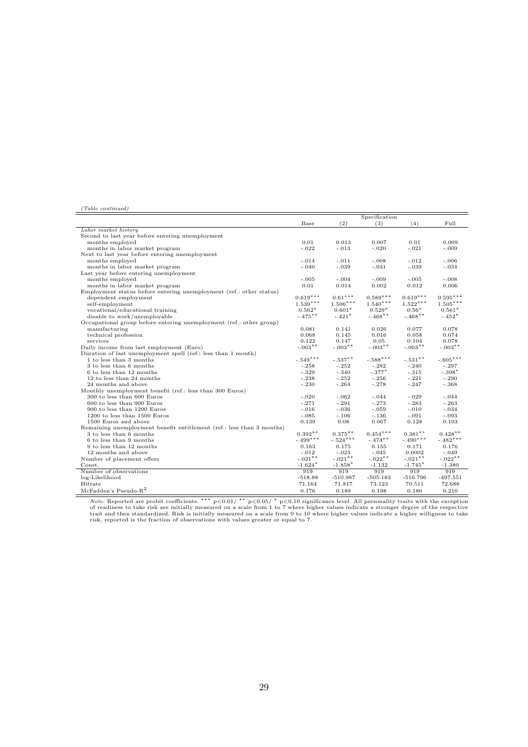#### (Table continued)

|                                                                       |            |            | Specification |            |            |
|-----------------------------------------------------------------------|------------|------------|---------------|------------|------------|
|                                                                       | Base       | (2)        | (3)           | (4)        | Full       |
| Labor market history                                                  |            |            |               |            |            |
| Second to last year before entering unemployment                      |            |            |               |            |            |
| months employed                                                       | 0.01       | 0.013      | 0.007         | 0.01       | 0.009      |
| months in labor market program                                        | $-.022$    | $-.013$    | $-.020$       | $-.021$    | $-.009$    |
| Next to last year before entering unemployment                        |            |            |               |            |            |
| months employed                                                       | $-.014$    | $-.011$    | $-.008$       | $-.012$    | $-.006$    |
| months in labor market program                                        | $-.040$    | $-.039$    | $-.031$       | $-.039$    | $-.034$    |
| Last year before entering unemployment                                |            |            |               |            |            |
| months employed                                                       | $-.005$    | $-.004$    | $-.009$       | $-.005$    | $-.008$    |
| months in labor market program                                        | 0.01       | 0.014      | 0.002         | 0.012      | 0.006      |
| Employment status before entering unemployment (ref.: other status)   |            |            |               |            |            |
| dependent employment                                                  | $0.619***$ | $0.61***$  | $0.589***$    | $0.619***$ | $0.595***$ |
| self-employment                                                       | $1.539***$ | $1.506***$ | $1.540***$    | $1.522***$ | $1.505***$ |
| vocational/educational training                                       | $0.562*$   | $0.601*$   | $0.529*$      | $0.56*$    | $0.561*$   |
| disable to work/unemployable                                          | $-.475***$ | $-.421*$   | $-.468**$     | $-.468**$  | $-.452*$   |
| Occupational group before entering unemployment (ref.: other group)   |            |            |               |            |            |
| manufacturing                                                         | 0.081      | 0.141      | 0.026         | 0.077      | 0.078      |
| technical profession                                                  | 0.068      | 0.145      | 0.016         | 0.058      | 0.074      |
| services                                                              | 0.122      | 0.147      | 0.05          | 0.104      | 0.078      |
| Daily income from last employment (Euro)                              | $-.003**$  | $-.003**$  | $-.003**$     | $-.003**$  | $-.003**$  |
| Duration of last unemployment spell (ref.: less than 1 month)         |            |            |               |            |            |
| 1 to less than 3 months                                               | $-.549***$ | $-.537**$  | $-.588***$    | $-.531**$  | $-.605***$ |
| 3 to less than 6 months                                               | $-.258$    | $-.252$    | $-.282$       | $-.240$    | $-.297$    |
| 6 to less than 12 months                                              | $-.329$    | $-.340$    | $-.377*$      | $-.315$    | $-.398*$   |
| 12 to less than 24 months                                             | $-.238$    | $-.252$    | $-.256$       | $-.221$    | $-.290$    |
| 24 months and above                                                   | $-.230$    | $-.264$    | $-.278$       | $-.247$    | $-.368$    |
| Monthly unemployment benefit (ref.: less than 300 Euros)              |            |            |               |            |            |
| 300 to less than 600 Euros                                            | $-.020$    | $-.062$    | $-.044$       | $-.029$    | $-.044$    |
| 600 to less than 900 Euros                                            | $-.271$    | $-.291$    | $-.273$       | $-.283$    | $-.263$    |
| 900 to less than 1200 Euros                                           | $-.016$    | $-.036$    | $-.059$       | $-.010$    | $-.034$    |
| 1200 to less than 1500 Euros                                          | $-.085$    | $-.106$    | $-.136$       | $-.091$    | $-.093$    |
| 1500 Euros and above                                                  | 0.139      | 0.08       | 0.067         | 0.128      | 0.103      |
| Remaining unemployment benefit entitlement (ref.: less than 3 months) |            |            |               |            |            |
| 3 to less than 6 months                                               | $0.392**$  | $0.375***$ | $0.454***$    | $0.381**$  | $0.428**$  |
| 6 to less than 9 months                                               | $-.499***$ | $-.524***$ | $-.474***$    | $-.490***$ | $-.482***$ |
| 9 to less than 12 months                                              | 0.163      | 0.175      | 0.155         | 0.171      | 0.176      |
| 12 months and above                                                   | $-.012$    | $-.023$    | $-.045$       | 0.0002     | $-.049$    |
| Number of placement offers                                            | $-.021**$  | $-.021***$ | $-.022**$     | $-.021***$ | $-.022**$  |
| Const.                                                                | $-1.624*$  | $-1.858*$  | $-1.132$      | $-1.745*$  | $-1.380$   |
| Number of observations                                                | 919        | 919        | 919           | 919        | 919        |
| log-Likelihood                                                        | $-518.88$  | $-510.987$ | $-505.183$    | $-516.796$ | $-497.551$ |
| Hitrate                                                               | 71.164     | 71.817     | 73.123        | 70.511     | 72.688     |
| McFadden's Pseudo- $R^2$                                              | 0.176      | 0.189      | 0.198         | 0.180      | 0.210      |
|                                                                       |            |            |               |            |            |

*Note:* Reported are probit coefficients. \*\*\*  $p<0.01/$ \*\*  $p<0.05/$ \*  $p<0.10$  significance level. All personality traits with the exception<br>of readiness to take risk are initially measured on a scale from 1 to 7 where hig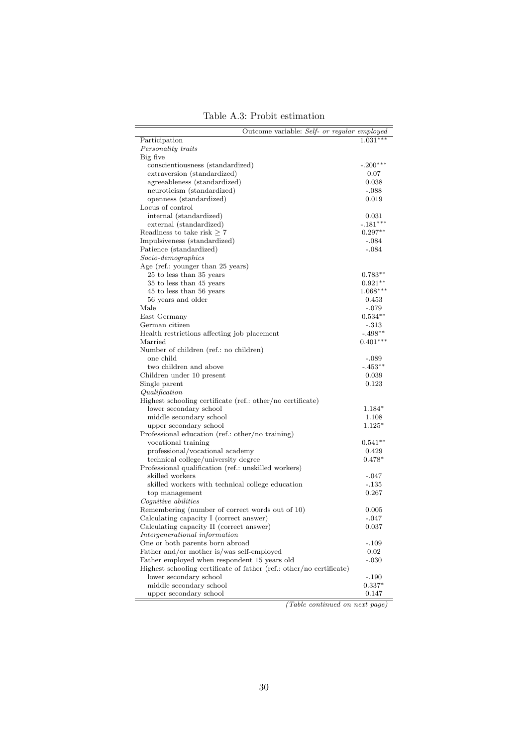|  |  |  | Table A.3: Probit estimation |
|--|--|--|------------------------------|
|--|--|--|------------------------------|

(Table continued on next page)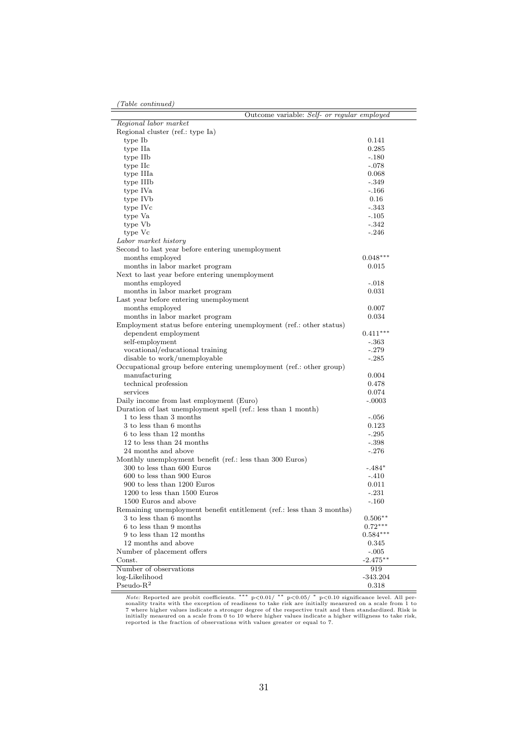| Outcome variable: Self- or regular employed                           |                   |
|-----------------------------------------------------------------------|-------------------|
| Regional labor market                                                 |                   |
| Regional cluster (ref.: type Ia)                                      |                   |
| type Ib                                                               | 0.141             |
| type IIa                                                              | 0.285             |
| type IIb                                                              | $-.180$           |
| type IIc                                                              | $-.078$           |
| type IIIa                                                             | 0.068             |
| type IIIb                                                             | $-.349$           |
| type IVa                                                              | $-166$            |
| type IVb                                                              | 0.16              |
| type IVc                                                              | $-.343$           |
| type Va                                                               | $-.105$           |
| type Vb                                                               | $-342$            |
| type Vc                                                               | $-.246$           |
| Labor market history                                                  |                   |
| Second to last year before entering unemployment                      |                   |
| months employed                                                       | $0.048***$        |
| months in labor market program                                        | 0.015             |
| Next to last year before entering unemployment                        |                   |
| months employed                                                       | $-.018$           |
| months in labor market program                                        | 0.031             |
| Last year before entering unemployment                                |                   |
| months employed                                                       | 0.007             |
| months in labor market program                                        | 0.034             |
| Employment status before entering unemployment (ref.: other status)   |                   |
| dependent employment                                                  | $0.411***$        |
| self-employment                                                       | $-.363$           |
| vocational/educational training                                       | $-.279$           |
| disable to work/unemployable                                          | $-.285$           |
| Occupational group before entering unemployment (ref.: other group)   |                   |
| manufacturing                                                         | 0.004             |
| technical profession                                                  | 0.478             |
| services                                                              | 0.074             |
| Daily income from last employment (Euro)                              | $-.0003$          |
| Duration of last unemployment spell (ref.: less than 1 month)         |                   |
| 1 to less than 3 months                                               | $-.056$           |
| 3 to less than 6 months                                               | 0.123             |
| 6 to less than 12 months                                              | $-.295$           |
| 12 to less than 24 months                                             | $-.398$           |
| 24 months and above                                                   | $-.276$           |
| Monthly unemployment benefit (ref.: less than 300 Euros)              |                   |
| 300 to less than 600 Euros                                            | $-.484*$          |
| 600 to less than 900 Euros                                            | $-.410$           |
| 900 to less than 1200 Euros                                           | 0.011             |
| 1200 to less than 1500 Euros                                          | $-.231$           |
| 1500 Euros and above                                                  | $-.160$           |
| Remaining unemployment benefit entitlement (ref.: less than 3 months) |                   |
| 3 to less than 6 months                                               | $0.506**$         |
| 6 to less than 9 months                                               | $0.72***$         |
| 9 to less than 12 months                                              | $0.584***$        |
| 12 months and above                                                   | 0.345             |
| Number of placement offers                                            | $-.005$           |
| Const.<br>Number of observations                                      | $-2.475**$        |
| log-Likelihood                                                        | 919<br>$-343.204$ |
| $Pseudo-R2$                                                           | $_{0.318}$        |
|                                                                       |                   |

L

*Note:* Reported are probit coefficients. \*\*\*  $p<0.01/$ \*\*  $p<0.05/$ \*  $p<0.10$  significance level. All personality traits with the exception of readiness to take risk are initially measured on a scale from 1 to 7 where hig